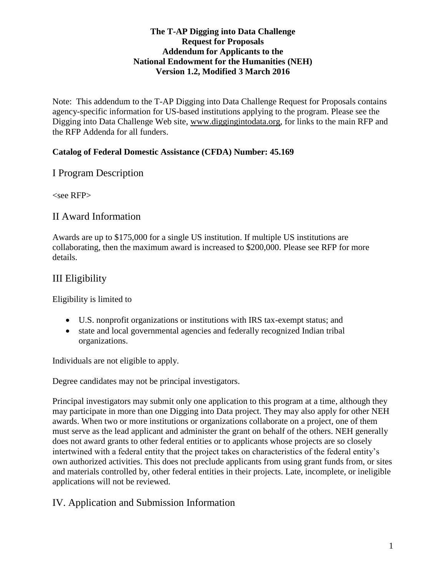#### **The T-AP Digging into Data Challenge Request for Proposals Addendum for Applicants to the National Endowment for the Humanities (NEH) Version 1.2, Modified 3 March 2016**

Note: This addendum to the T-AP Digging into Data Challenge Request for Proposals contains agency-specific information for US-based institutions applying to the program. Please see the Digging into Data Challenge Web site, [www.diggingintodata.org,](http://www.diggingintodata.org/) for links to the main RFP and the RFP Addenda for all funders.

#### **Catalog of Federal Domestic Assistance (CFDA) Number: 45.169**

### I Program Description

<see RFP>

### II Award Information

Awards are up to \$175,000 for a single US institution. If multiple US institutions are collaborating, then the maximum award is increased to \$200,000. Please see RFP for more details.

## III Eligibility

Eligibility is limited to

- U.S. nonprofit organizations or institutions with IRS tax-exempt status; and
- state and local governmental agencies and federally recognized Indian tribal organizations.

Individuals are not eligible to apply.

Degree candidates may not be principal investigators.

Principal investigators may submit only one application to this program at a time, although they may participate in more than one Digging into Data project. They may also apply for other NEH awards. When two or more institutions or organizations collaborate on a project, one of them must serve as the lead applicant and administer the grant on behalf of the others. NEH generally does not award grants to other federal entities or to applicants whose projects are so closely intertwined with a federal entity that the project takes on characteristics of the federal entity's own authorized activities. This does not preclude applicants from using grant funds from, or sites and materials controlled by, other federal entities in their projects. Late, incomplete, or ineligible applications will not be reviewed.

### IV. Application and Submission Information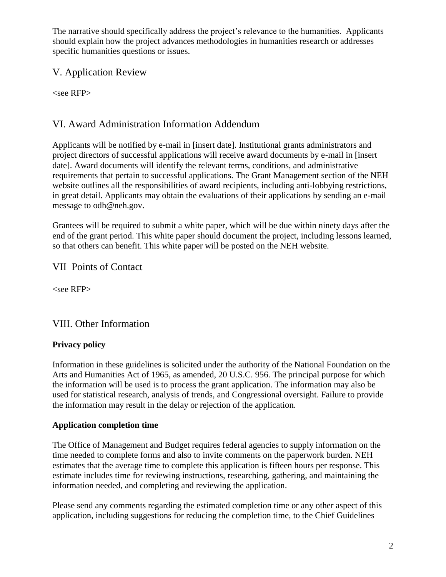The narrative should specifically address the project's relevance to the humanities. Applicants should explain how the project advances methodologies in humanities research or addresses specific humanities questions or issues.

## V. Application Review

 $<$ see RFP $>$ 

# VI. Award Administration Information Addendum

Applicants will be notified by e-mail in [insert date]. Institutional grants administrators and project directors of successful applications will receive award documents by e-mail in [insert date]. Award documents will identify the relevant terms, conditions, and administrative requirements that pertain to successful applications. The Grant Management section of the NEH website outlines all the responsibilities of award recipients, including anti-lobbying restrictions, in great detail. Applicants may obtain the evaluations of their applications by sending an e-mail message to odh@neh.gov.

Grantees will be required to submit a white paper, which will be due within ninety days after the end of the grant period. This white paper should document the project, including lessons learned, so that others can benefit. This white paper will be posted on the NEH website.

VII Points of Contact

<see RFP>

## VIII. Other Information

## **Privacy policy**

Information in these guidelines is solicited under the authority of the National Foundation on the Arts and Humanities Act of 1965, as amended, 20 U.S.C. 956. The principal purpose for which the information will be used is to process the grant application. The information may also be used for statistical research, analysis of trends, and Congressional oversight. Failure to provide the information may result in the delay or rejection of the application.

### **Application completion time**

The Office of Management and Budget requires federal agencies to supply information on the time needed to complete forms and also to invite comments on the paperwork burden. NEH estimates that the average time to complete this application is fifteen hours per response. This estimate includes time for reviewing instructions, researching, gathering, and maintaining the information needed, and completing and reviewing the application.

Please send any comments regarding the estimated completion time or any other aspect of this application, including suggestions for reducing the completion time, to the Chief Guidelines